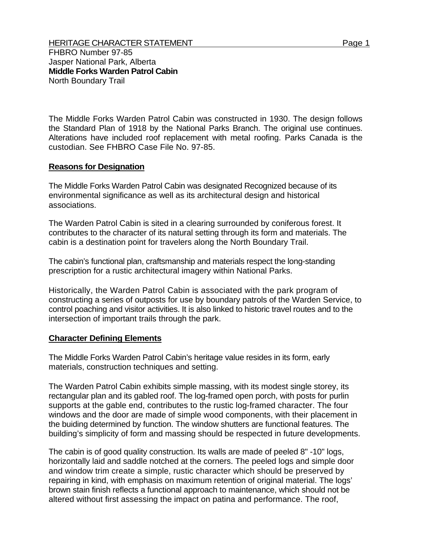Jasper National Park, Alberta **Middle Forks Warden Patrol Cabin**  North Boundary Trail

The Middle Forks Warden Patrol Cabin was constructed in 1930. The design follows the Standard Plan of 1918 by the National Parks Branch. The original use continues. Alterations have included roof replacement with metal roofing. Parks Canada is the custodian. See FHBRO Case File No. 97-85.

## **Reasons for Designation**

The Middle Forks Warden Patrol Cabin was designated Recognized because of its environmental significance as well as its architectural design and historical associations.

The Warden Patrol Cabin is sited in a clearing surrounded by coniferous forest. It contributes to the character of its natural setting through its form and materials. The cabin is a destination point for travelers along the North Boundary Trail.

The cabin's functional plan, craftsmanship and materials respect the long-standing prescription for a rustic architectural imagery within National Parks.

Historically, the Warden Patrol Cabin is associated with the park program of constructing a series of outposts for use by boundary patrols of the Warden Service, to control poaching and visitor activities. It is also linked to historic travel routes and to the intersection of important trails through the park.

## **Character Defining Elements**

The Middle Forks Warden Patrol Cabin's heritage value resides in its form, early materials, construction techniques and setting.

The Warden Patrol Cabin exhibits simple massing, with its modest single storey, its rectangular plan and its gabled roof. The log-framed open porch, with posts for purlin supports at the gable end, contributes to the rustic log-framed character. The four windows and the door are made of simple wood components, with their placement in the buiding determined by function. The window shutters are functional features. The building's simplicity of form and massing should be respected in future developments.

The cabin is of good quality construction. Its walls are made of peeled 8" -10" logs, horizontally laid and saddle notched at the corners. The peeled logs and simple door and window trim create a simple, rustic character which should be preserved by repairing in kind, with emphasis on maximum retention of original material. The logs' brown stain finish reflects a functional approach to maintenance, which should not be altered without first assessing the impact on patina and performance. The roof,